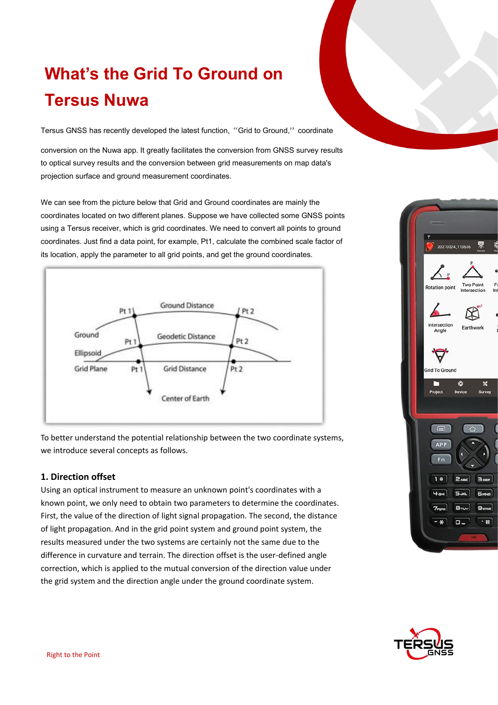# **What's the Grid To Ground on Tersus Nuwa**

Tersus GNSS has recently developed the latest function, "Grid to Ground," coordinate

conversion on the Nuwa app. It greatly facilitates the conversion from GNSS survey results to optical survey results and the conversion between grid measurements on map data's projection surface and ground measurement coordinates.

We can see from the picture below that Grid and Ground coordinates are mainly the coordinates located on two different planes. Suppose we have collected some GNSS points using a Tersus receiver, which is grid coordinates. We need to convert all points to ground coordinates. Just find a data point, forexample, Pt1, calculate the combined scale factor of its location, apply the parameter to all grid points, and get the ground coordinates.



To better understand the potential relationship between the two coordinate systems, we introduce several concepts as follows.

## **1. Direction offset**

Using an optical instrument to measure an unknown point's coordinates with a known point, we only need to obtain two parameters to determine the coordinates. First, the value of the direction of light signal propagation. The second, the distance of light propagation. And in the grid point system and ground point system, the results measured under the two systems are certainly not the same due to the difference in curvature and terrain. The direction offset is the user-defined angle correction, which is applied to the mutual conversion of the direction value under the grid system and the direction angle under the ground coordinate system.



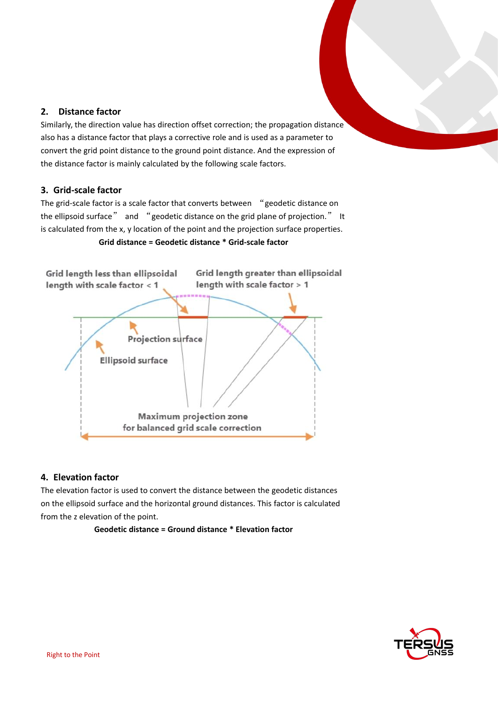## **2. Distance factor**

Similarly, the direction value has direction offset correction; the propagation distance also has a distance factor that plays a corrective role and is used as a parameter to convert the grid point distance to the ground point distance. And the expression of the distance factor is mainly calculated by the following scale factors.

### **3. Grid-scale factor**

The grid-scale factor is a scale factor that converts between "geodetic distance on the ellipsoid surface" and "geodetic distance on the grid plane of projection." It is calculated from the x, y location of the point and the projection surface properties.





## **4. Elevation factor**

The elevation factor is used to convert the distance between the geodetic distances on the ellipsoid surface and the horizontal ground distances. This factor is calculated from the z elevation of the point.

**Geodetic distance = Ground distance \* Elevation factor**